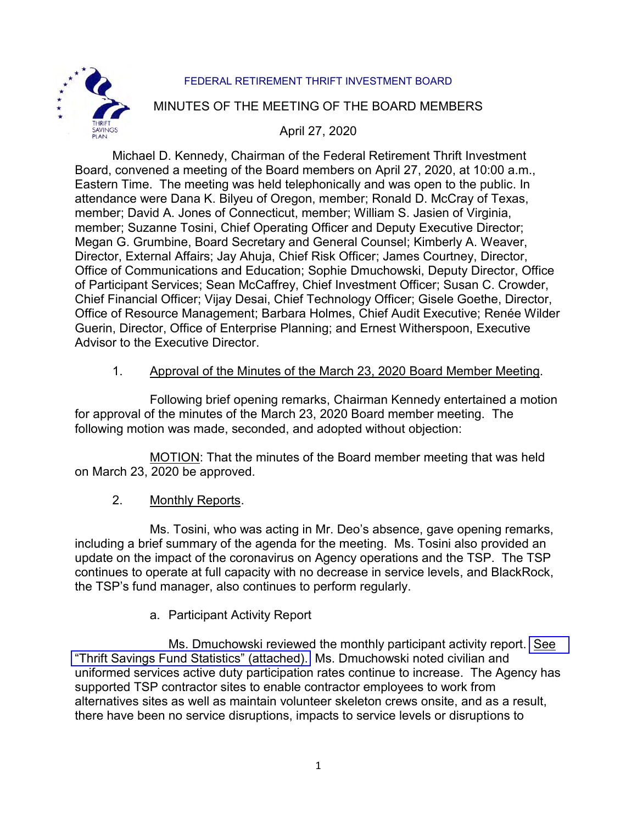

### FEDERAL RETIREMENT THRIFT INVESTMENT BOARD

### MINUTES OF THE MEETING OF THE BOARD MEMBERS

## April 27, 2020

Michael D. Kennedy, Chairman of the Federal Retirement Thrift Investment Board, convened a meeting of the Board members on April 27, 2020, at 10:00 a.m., Eastern Time. The meeting was held telephonically and was open to the public. In attendance were Dana K. Bilyeu of Oregon, member; Ronald D. McCray of Texas, member; David A. Jones of Connecticut, member; William S. Jasien of Virginia, member; Suzanne Tosini, Chief Operating Officer and Deputy Executive Director; Megan G. Grumbine, Board Secretary and General Counsel; Kimberly A. Weaver, Director, External Affairs; Jay Ahuja, Chief Risk Officer; James Courtney, Director, Office of Communications and Education; Sophie Dmuchowski, Deputy Director, Office of Participant Services; Sean McCaffrey, Chief Investment Officer; Susan C. Crowder, Chief Financial Officer; Vijay Desai, Chief Technology Officer; Gisele Goethe, Director, Office of Resource Management; Barbara Holmes, Chief Audit Executive; Renée Wilder Guerin, Director, Office of Enterprise Planning; and Ernest Witherspoon, Executive Advisor to the Executive Director.

## 1. Approval of the Minutes of the March 23, 2020 Board Member Meeting.

Following brief opening remarks, Chairman Kennedy entertained a motion for approval of the minutes of the March 23, 2020 Board member meeting. The following motion was made, seconded, and adopted without objection:

MOTION: That the minutes of the Board member meeting that was held on March 23, 2020 be approved.

#### 2. Monthly Reports.

Ms. Tosini, who was acting in Mr. Deo's absence, gave opening remarks, including a brief summary of the agenda for the meeting. Ms. Tosini also provided an update on the impact of the coronavirus on Agency operations and the TSP. The TSP continues to operate at full capacity with no decrease in service levels, and BlackRock, the TSP's fund manager, also continues to perform regularly.

## a. Participant Activity Report

Ms. Dmuchowski reviewed the monthly participant activity report. [See](https://www.frtib.gov/pdf/minutes/2020/Apr/MM-2020Apr-Att1.pdf) ["Thrift Savings Fund Statistics" \(attached\).](https://www.frtib.gov/pdf/minutes/2020/Apr/MM-2020Apr-Att1.pdf) Ms. Dmuchowski noted civilian and uniformed services active duty participation rates continue to increase. The Agency has supported TSP contractor sites to enable contractor employees to work from alternatives sites as well as maintain volunteer skeleton crews onsite, and as a result, there have been no service disruptions, impacts to service levels or disruptions to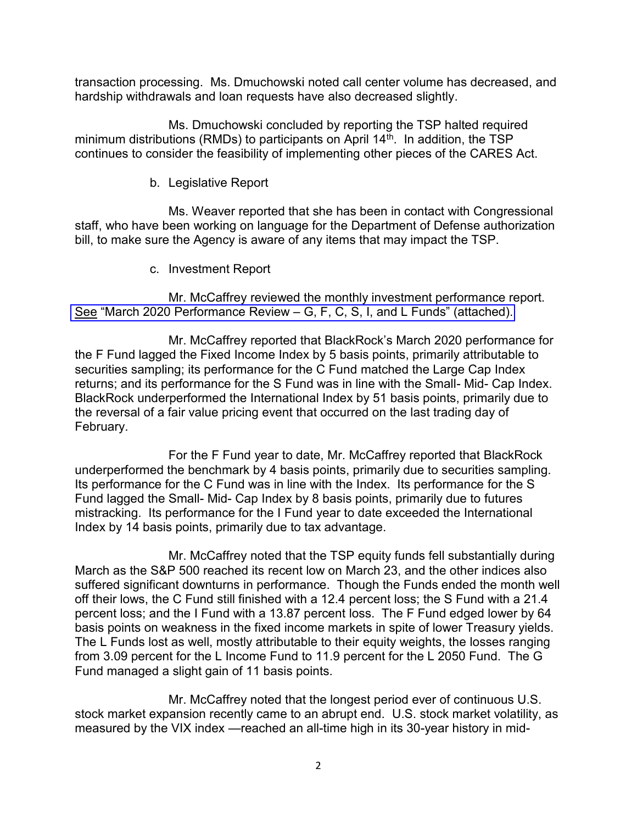transaction processing. Ms. Dmuchowski noted call center volume has decreased, and hardship withdrawals and loan requests have also decreased slightly.

Ms. Dmuchowski concluded by reporting the TSP halted required minimum distributions (RMDs) to participants on April  $14<sup>th</sup>$ . In addition, the TSP continues to consider the feasibility of implementing other pieces of the CARES Act.

#### b. Legislative Report

Ms. Weaver reported that she has been in contact with Congressional staff, who have been working on language for the Department of Defense authorization bill, to make sure the Agency is aware of any items that may impact the TSP.

c. Investment Report

Mr. McCaffrey reviewed the monthly investment performance report. [See "March 2020 Performance Review – G, F, C, S, I, and L Funds" \(attached\).](https://www.frtib.gov/pdf/minutes/2020/Apr/MM-2020Apr-Att2.pdf) 

Mr. McCaffrey reported that BlackRock's March 2020 performance for the F Fund lagged the Fixed Income Index by 5 basis points, primarily attributable to securities sampling; its performance for the C Fund matched the Large Cap Index returns; and its performance for the S Fund was in line with the Small- Mid- Cap Index. BlackRock underperformed the International Index by 51 basis points, primarily due to the reversal of a fair value pricing event that occurred on the last trading day of February.

For the F Fund year to date, Mr. McCaffrey reported that BlackRock underperformed the benchmark by 4 basis points, primarily due to securities sampling. Its performance for the C Fund was in line with the Index. Its performance for the S Fund lagged the Small- Mid- Cap Index by 8 basis points, primarily due to futures mistracking. Its performance for the I Fund year to date exceeded the International Index by 14 basis points, primarily due to tax advantage.

Mr. McCaffrey noted that the TSP equity funds fell substantially during March as the S&P 500 reached its recent low on March 23, and the other indices also suffered significant downturns in performance. Though the Funds ended the month well off their lows, the C Fund still finished with a 12.4 percent loss; the S Fund with a 21.4 percent loss; and the I Fund with a 13.87 percent loss. The F Fund edged lower by 64 basis points on weakness in the fixed income markets in spite of lower Treasury yields. The L Funds lost as well, mostly attributable to their equity weights, the losses ranging from 3.09 percent for the L Income Fund to 11.9 percent for the L 2050 Fund. The G Fund managed a slight gain of 11 basis points.

Mr. McCaffrey noted that the longest period ever of continuous U.S. stock market expansion recently came to an abrupt end. U.S. stock market volatility, as measured by the VIX index —reached an all-time high in its 30-year history in mid-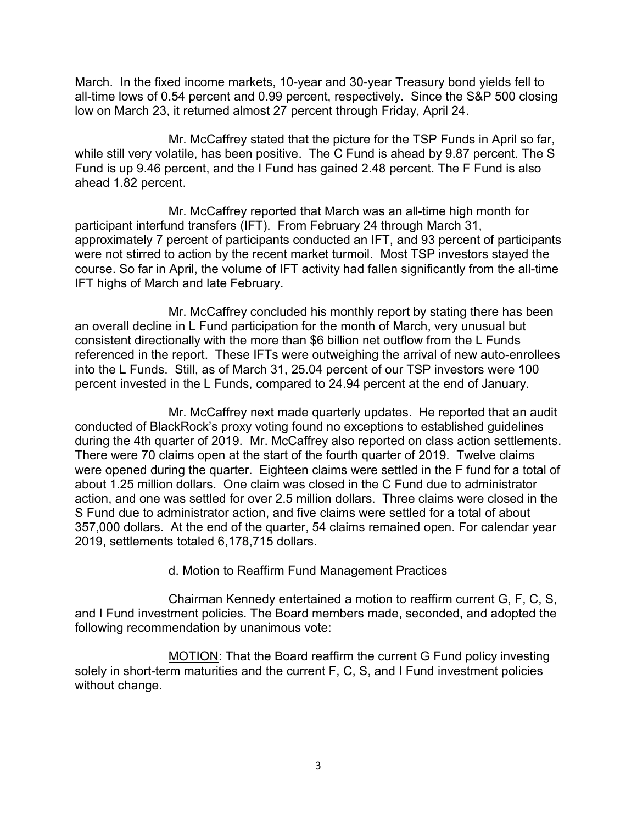March. In the fixed income markets, 10-year and 30-year Treasury bond yields fell to all-time lows of 0.54 percent and 0.99 percent, respectively. Since the S&P 500 closing low on March 23, it returned almost 27 percent through Friday, April 24.

Mr. McCaffrey stated that the picture for the TSP Funds in April so far, while still very volatile, has been positive. The C Fund is ahead by 9.87 percent. The S Fund is up 9.46 percent, and the I Fund has gained 2.48 percent. The F Fund is also ahead 1.82 percent.

Mr. McCaffrey reported that March was an all-time high month for participant interfund transfers (IFT). From February 24 through March 31, approximately 7 percent of participants conducted an IFT, and 93 percent of participants were not stirred to action by the recent market turmoil. Most TSP investors stayed the course. So far in April, the volume of IFT activity had fallen significantly from the all-time IFT highs of March and late February.

Mr. McCaffrey concluded his monthly report by stating there has been an overall decline in L Fund participation for the month of March, very unusual but consistent directionally with the more than \$6 billion net outflow from the L Funds referenced in the report. These IFTs were outweighing the arrival of new auto-enrollees into the L Funds. Still, as of March 31, 25.04 percent of our TSP investors were 100 percent invested in the L Funds, compared to 24.94 percent at the end of January.

Mr. McCaffrey next made quarterly updates. He reported that an audit conducted of BlackRock's proxy voting found no exceptions to established guidelines during the 4th quarter of 2019. Mr. McCaffrey also reported on class action settlements. There were 70 claims open at the start of the fourth quarter of 2019. Twelve claims were opened during the quarter. Eighteen claims were settled in the F fund for a total of about 1.25 million dollars. One claim was closed in the C Fund due to administrator action, and one was settled for over 2.5 million dollars. Three claims were closed in the S Fund due to administrator action, and five claims were settled for a total of about 357,000 dollars. At the end of the quarter, 54 claims remained open. For calendar year 2019, settlements totaled 6,178,715 dollars.

d. Motion to Reaffirm Fund Management Practices

Chairman Kennedy entertained a motion to reaffirm current G, F, C, S, and I Fund investment policies. The Board members made, seconded, and adopted the following recommendation by unanimous vote:

MOTION: That the Board reaffirm the current G Fund policy investing solely in short-term maturities and the current F, C, S, and I Fund investment policies without change.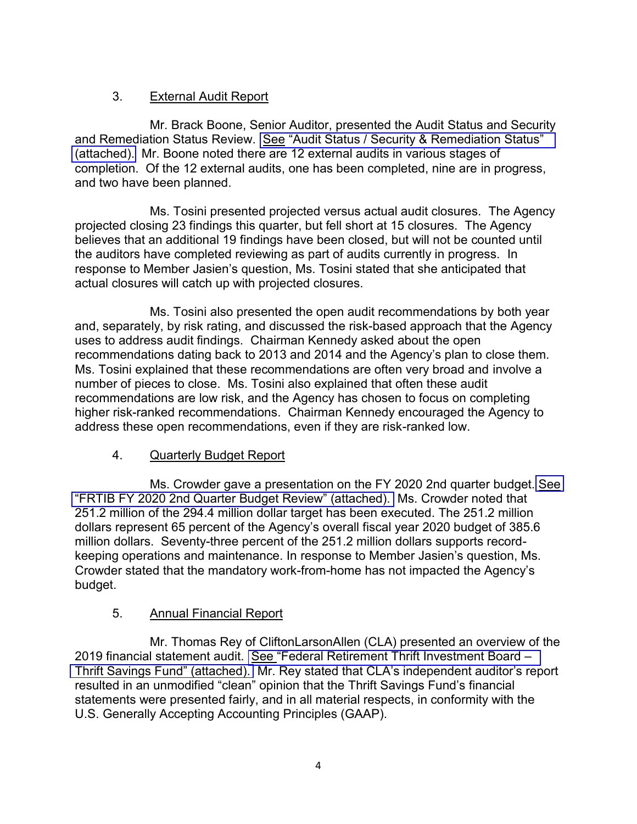# 3. External Audit Report

Mr. Brack Boone, Senior Auditor, presented the Audit Status and Security and Remediation Status Review. [See "Audit Status / Security & Remediation Status"](https://www.frtib.gov/pdf/minutes/2020/Apr/MM-2020Apr-Att3.pdf)  [\(attached\).](https://www.frtib.gov/pdf/minutes/2020/Apr/MM-2020Apr-Att3.pdf) Mr. Boone noted there are 12 external audits in various stages of completion. Of the 12 external audits, one has been completed, nine are in progress, and two have been planned.

Ms. Tosini presented projected versus actual audit closures. The Agency projected closing 23 findings this quarter, but fell short at 15 closures. The Agency believes that an additional 19 findings have been closed, but will not be counted until the auditors have completed reviewing as part of audits currently in progress. In response to Member Jasien's question, Ms. Tosini stated that she anticipated that actual closures will catch up with projected closures.

Ms. Tosini also presented the open audit recommendations by both year and, separately, by risk rating, and discussed the risk-based approach that the Agency uses to address audit findings. Chairman Kennedy asked about the open recommendations dating back to 2013 and 2014 and the Agency's plan to close them. Ms. Tosini explained that these recommendations are often very broad and involve a number of pieces to close. Ms. Tosini also explained that often these audit recommendations are low risk, and the Agency has chosen to focus on completing higher risk-ranked recommendations. Chairman Kennedy encouraged the Agency to address these open recommendations, even if they are risk-ranked low.

## 4. Quarterly Budget Report

Ms. Crowder gave a presentation on the FY 2020 2nd quarter budget. [See](https://www.frtib.gov/pdf/minutes/2020/Apr/MM-2020Apr-Att4.pdf) ["FRTIB FY 2020 2nd Quarter Budget Review" \(attached\).](https://www.frtib.gov/pdf/minutes/2020/Apr/MM-2020Apr-Att4.pdf) Ms. Crowder noted that 251.2 million of the 294.4 million dollar target has been executed. The 251.2 million dollars represent 65 percent of the Agency's overall fiscal year 2020 budget of 385.6 million dollars. Seventy-three percent of the 251.2 million dollars supports recordkeeping operations and maintenance. In response to Member Jasien's question, Ms. Crowder stated that the mandatory work-from-home has not impacted the Agency's budget.

# 5. Annual Financial Report

Mr. Thomas Rey of CliftonLarsonAllen (CLA) presented an overview of the 2019 financial statement audit. [See "Federal Retirement Thrift Investment Board –](https://www.frtib.gov/pdf/minutes/2020/Apr/MM-2020Apr-Att5.pdf)  [Thrift Savings Fund" \(attached\).](https://www.frtib.gov/pdf/minutes/2020/Apr/MM-2020Apr-Att5.pdf) Mr. Rey stated that CLA's independent auditor's report resulted in an unmodified "clean" opinion that the Thrift Savings Fund's financial statements were presented fairly, and in all material respects, in conformity with the U.S. Generally Accepting Accounting Principles (GAAP).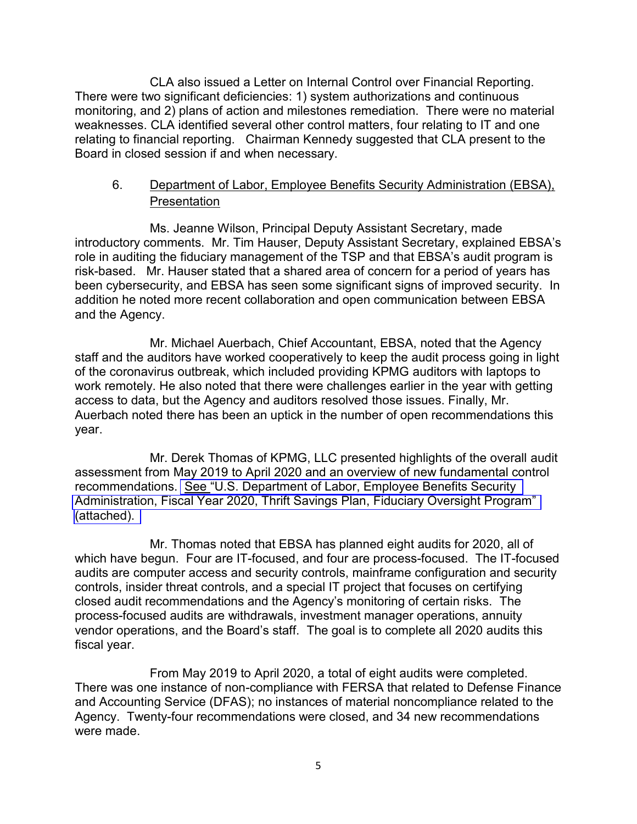CLA also issued a Letter on Internal Control over Financial Reporting. There were two significant deficiencies: 1) system authorizations and continuous monitoring, and 2) plans of action and milestones remediation. There were no material weaknesses. CLA identified several other control matters, four relating to IT and one relating to financial reporting. Chairman Kennedy suggested that CLA present to the Board in closed session if and when necessary.

# 6. Department of Labor, Employee Benefits Security Administration (EBSA), **Presentation**

Ms. Jeanne Wilson, Principal Deputy Assistant Secretary, made introductory comments. Mr. Tim Hauser, Deputy Assistant Secretary, explained EBSA's role in auditing the fiduciary management of the TSP and that EBSA's audit program is risk-based. Mr. Hauser stated that a shared area of concern for a period of years has been cybersecurity, and EBSA has seen some significant signs of improved security. In addition he noted more recent collaboration and open communication between EBSA and the Agency.

Mr. Michael Auerbach, Chief Accountant, EBSA, noted that the Agency staff and the auditors have worked cooperatively to keep the audit process going in light of the coronavirus outbreak, which included providing KPMG auditors with laptops to work remotely. He also noted that there were challenges earlier in the year with getting access to data, but the Agency and auditors resolved those issues. Finally, Mr. Auerbach noted there has been an uptick in the number of open recommendations this year.

Mr. Derek Thomas of KPMG, LLC presented highlights of the overall audit assessment from May 2019 to April 2020 and an overview of new fundamental control recommendations. [See "U.S. Department of Labor, Employee Benefits Security](https://www.frtib.gov/pdf/minutes/2020/Apr/MM-2020Apr-Att6.pdf)  [Administration, Fiscal Year 2020, Thrift Savings Plan, Fiduciary Oversight Program"](https://www.frtib.gov/pdf/minutes/2020/Apr/MM-2020Apr-Att6.pdf)  [\(attached\).](https://www.frtib.gov/pdf/minutes/2020/Apr/MM-2020Apr-Att6.pdf) 

Mr. Thomas noted that EBSA has planned eight audits for 2020, all of which have begun. Four are IT-focused, and four are process-focused. The IT-focused audits are computer access and security controls, mainframe configuration and security controls, insider threat controls, and a special IT project that focuses on certifying closed audit recommendations and the Agency's monitoring of certain risks. The process-focused audits are withdrawals, investment manager operations, annuity vendor operations, and the Board's staff. The goal is to complete all 2020 audits this fiscal year.

From May 2019 to April 2020, a total of eight audits were completed. There was one instance of non-compliance with FERSA that related to Defense Finance and Accounting Service (DFAS); no instances of material noncompliance related to the Agency. Twenty-four recommendations were closed, and 34 new recommendations were made.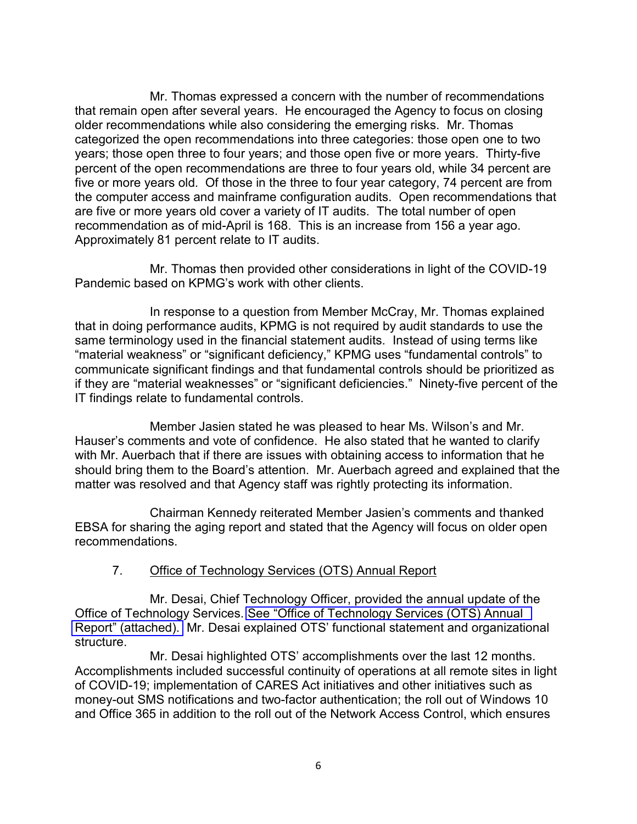Mr. Thomas expressed a concern with the number of recommendations that remain open after several years. He encouraged the Agency to focus on closing older recommendations while also considering the emerging risks. Mr. Thomas categorized the open recommendations into three categories: those open one to two years; those open three to four years; and those open five or more years. Thirty-five percent of the open recommendations are three to four years old, while 34 percent are five or more years old. Of those in the three to four year category, 74 percent are from the computer access and mainframe configuration audits. Open recommendations that are five or more years old cover a variety of IT audits. The total number of open recommendation as of mid-April is 168. This is an increase from 156 a year ago. Approximately 81 percent relate to IT audits.

Mr. Thomas then provided other considerations in light of the COVID-19 Pandemic based on KPMG's work with other clients.

In response to a question from Member McCray, Mr. Thomas explained that in doing performance audits, KPMG is not required by audit standards to use the same terminology used in the financial statement audits. Instead of using terms like "material weakness" or "significant deficiency," KPMG uses "fundamental controls" to communicate significant findings and that fundamental controls should be prioritized as if they are "material weaknesses" or "significant deficiencies." Ninety-five percent of the IT findings relate to fundamental controls.

Member Jasien stated he was pleased to hear Ms. Wilson's and Mr. Hauser's comments and vote of confidence. He also stated that he wanted to clarify with Mr. Auerbach that if there are issues with obtaining access to information that he should bring them to the Board's attention. Mr. Auerbach agreed and explained that the matter was resolved and that Agency staff was rightly protecting its information.

Chairman Kennedy reiterated Member Jasien's comments and thanked EBSA for sharing the aging report and stated that the Agency will focus on older open recommendations.

#### 7. Office of Technology Services (OTS) Annual Report

Mr. Desai, Chief Technology Officer, provided the annual update of the Office of Technology Services. [See "Office of Technology Services \(OTS\) Annual](https://www.frtib.gov/pdf/minutes/2020/Apr/MM-2020Apr-Att7.pdf)  [Report" \(attached\).](https://www.frtib.gov/pdf/minutes/2020/Apr/MM-2020Apr-Att7.pdf) Mr. Desai explained OTS' functional statement and organizational structure.

Mr. Desai highlighted OTS' accomplishments over the last 12 months. Accomplishments included successful continuity of operations at all remote sites in light of COVID-19; implementation of CARES Act initiatives and other initiatives such as money-out SMS notifications and two-factor authentication; the roll out of Windows 10 and Office 365 in addition to the roll out of the Network Access Control, which ensures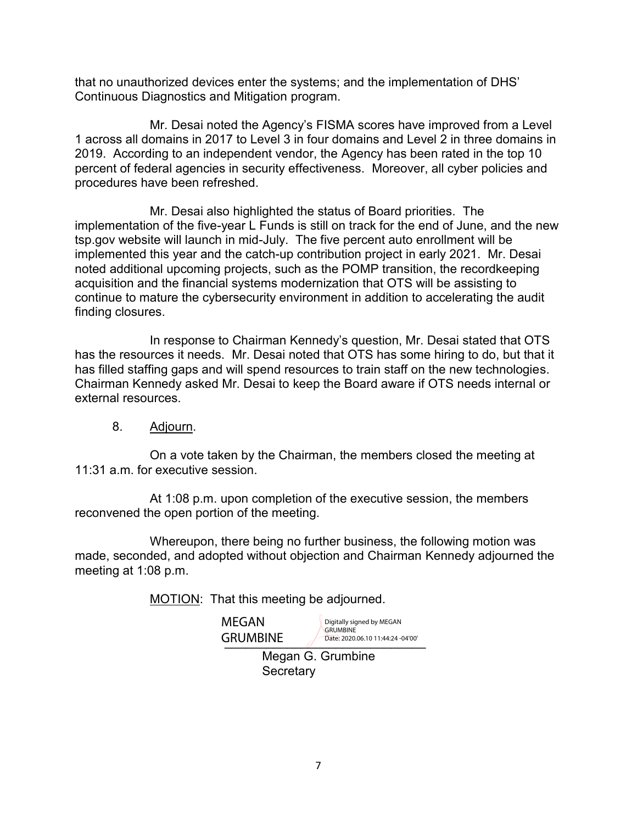that no unauthorized devices enter the systems; and the implementation of DHS' Continuous Diagnostics and Mitigation program.

Mr. Desai noted the Agency's FISMA scores have improved from a Level 1 across all domains in 2017 to Level 3 in four domains and Level 2 in three domains in 2019. According to an independent vendor, the Agency has been rated in the top 10 percent of federal agencies in security effectiveness. Moreover, all cyber policies and procedures have been refreshed.

Mr. Desai also highlighted the status of Board priorities. The implementation of the five-year L Funds is still on track for the end of June, and the new tsp.gov website will launch in mid-July. The five percent auto enrollment will be implemented this year and the catch-up contribution project in early 2021. Mr. Desai noted additional upcoming projects, such as the POMP transition, the recordkeeping acquisition and the financial systems modernization that OTS will be assisting to continue to mature the cybersecurity environment in addition to accelerating the audit finding closures.

In response to Chairman Kennedy's question, Mr. Desai stated that OTS has the resources it needs. Mr. Desai noted that OTS has some hiring to do, but that it has filled staffing gaps and will spend resources to train staff on the new technologies. Chairman Kennedy asked Mr. Desai to keep the Board aware if OTS needs internal or external resources.

8. Adjourn.

On a vote taken by the Chairman, the members closed the meeting at 11:31 a.m. for executive session.

At 1:08 p.m. upon completion of the executive session, the members reconvened the open portion of the meeting.

Whereupon, there being no further business, the following motion was made, seconded, and adopted without objection and Chairman Kennedy adjourned the meeting at 1:08 p.m.

MOTION: That this meeting be adjourned.

MEGAN

GRUMBINE Date: 2020.06.10 11:44:24 -04'00' Digitally signed by MEGAN GRUMBINE Date: 2020.06.10 11:44:24 -04'00'

Megan G. Grumbine **Secretary**